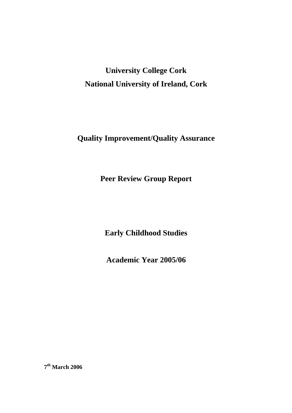**University College Cork National University of Ireland, Cork** 

# **Quality Improvement/Quality Assurance**

**Peer Review Group Report** 

**Early Childhood Studies** 

**Academic Year 2005/06** 

**7th March 2006**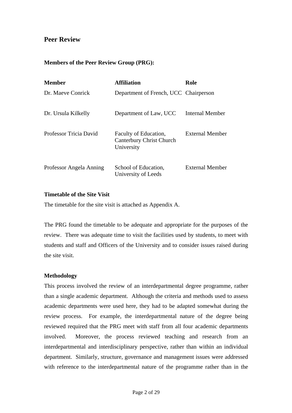# **Peer Review**

# **Members of the Peer Review Group (PRG):**

| Member                  | <b>Affiliation</b>                                              | Role                   |
|-------------------------|-----------------------------------------------------------------|------------------------|
| Dr. Maeve Conrick       | Department of French, UCC Chairperson                           |                        |
| Dr. Ursula Kilkelly     | Department of Law, UCC                                          | Internal Member        |
| Professor Tricia David  | Faculty of Education,<br>Canterbury Christ Church<br>University | External Member        |
| Professor Angela Anning | School of Education,<br>University of Leeds                     | <b>External Member</b> |

#### **Timetable of the Site Visit**

The timetable for the site visit is attached as Appendix A.

The PRG found the timetable to be adequate and appropriate for the purposes of the review. There was adequate time to visit the facilities used by students, to meet with students and staff and Officers of the University and to consider issues raised during the site visit.

#### **Methodology**

This process involved the review of an interdepartmental degree programme, rather than a single academic department. Although the criteria and methods used to assess academic departments were used here, they had to be adapted somewhat during the review process. For example, the interdepartmental nature of the degree being reviewed required that the PRG meet with staff from all four academic departments involved. Moreover, the process reviewed teaching and research from an interdepartmental and interdisciplinary perspective, rather than within an individual department. Similarly, structure, governance and management issues were addressed with reference to the interdepartmental nature of the programme rather than in the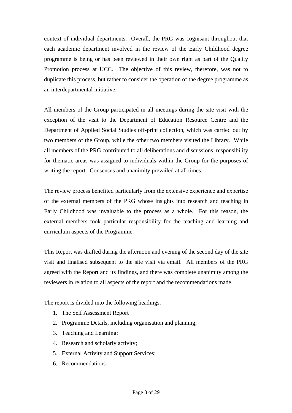context of individual departments. Overall, the PRG was cognisant throughout that each academic department involved in the review of the Early Childhood degree programme is being or has been reviewed in their own right as part of the Quality Promotion process at UCC. The objective of this review, therefore, was not to duplicate this process, but rather to consider the operation of the degree programme as an interdepartmental initiative.

All members of the Group participated in all meetings during the site visit with the exception of the visit to the Department of Education Resource Centre and the Department of Applied Social Studies off-print collection, which was carried out by two members of the Group, while the other two members visited the Library. While all members of the PRG contributed to all deliberations and discussions, responsibility for thematic areas was assigned to individuals within the Group for the purposes of writing the report. Consensus and unanimity prevailed at all times.

The review process benefited particularly from the extensive experience and expertise of the external members of the PRG whose insights into research and teaching in Early Childhood was invaluable to the process as a whole. For this reason, the external members took particular responsibility for the teaching and learning and curriculum aspects of the Programme.

This Report was drafted during the afternoon and evening of the second day of the site visit and finalised subsequent to the site visit via email. All members of the PRG agreed with the Report and its findings, and there was complete unanimity among the reviewers in relation to all aspects of the report and the recommendations made.

The report is divided into the following headings:

- 1. The Self Assessment Report
- 2. Programme Details, including organisation and planning;
- 3. Teaching and Learning;
- 4. Research and scholarly activity;
- 5. External Activity and Support Services;
- 6. Recommendations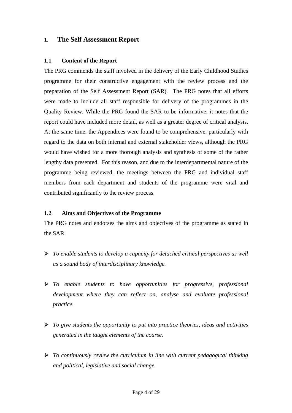# **1. The Self Assessment Report**

#### **1.1 Content of the Report**

The PRG commends the staff involved in the delivery of the Early Childhood Studies programme for their constructive engagement with the review process and the preparation of the Self Assessment Report (SAR). The PRG notes that all efforts were made to include all staff responsible for delivery of the programmes in the Quality Review. While the PRG found the SAR to be informative, it notes that the report could have included more detail, as well as a greater degree of critical analysis. At the same time, the Appendices were found to be comprehensive, particularly with regard to the data on both internal and external stakeholder views, although the PRG would have wished for a more thorough analysis and synthesis of some of the rather lengthy data presented. For this reason, and due to the interdepartmental nature of the programme being reviewed, the meetings between the PRG and individual staff members from each department and students of the programme were vital and contributed significantly to the review process.

# **1.2 Aims and Objectives of the Programme**

The PRG notes and endorses the aims and objectives of the programme as stated in the SAR:

- ¾ *To enable students to develop a capacity for detached critical perspectives as well as a sound body of interdisciplinary knowledge.*
- ¾ *To enable students to have opportunities for progressive, professional development where they can reflect on, analyse and evaluate professional practice.*
- ¾ *To give students the opportunity to put into practice theories, ideas and activities generated in the taught elements of the course.*
- ¾ *To continuously review the curriculum in line with current pedagogical thinking and political, legislative and social change.*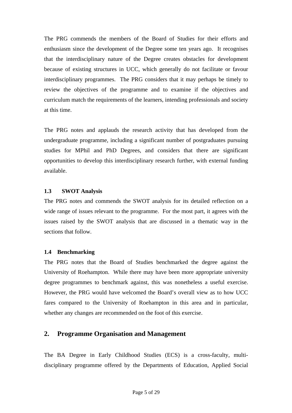The PRG commends the members of the Board of Studies for their efforts and enthusiasm since the development of the Degree some ten years ago. It recognises that the interdisciplinary nature of the Degree creates obstacles for development because of existing structures in UCC, which generally do not facilitate or favour interdisciplinary programmes. The PRG considers that it may perhaps be timely to review the objectives of the programme and to examine if the objectives and curriculum match the requirements of the learners, intending professionals and society at this time.

The PRG notes and applauds the research activity that has developed from the undergraduate programme, including a significant number of postgraduates pursuing studies for MPhil and PhD Degrees, and considers that there are significant opportunities to develop this interdisciplinary research further, with external funding available.

## **1.3 SWOT Analysis**

The PRG notes and commends the SWOT analysis for its detailed reflection on a wide range of issues relevant to the programme. For the most part, it agrees with the issues raised by the SWOT analysis that are discussed in a thematic way in the sections that follow.

#### **1.4 Benchmarking**

The PRG notes that the Board of Studies benchmarked the degree against the University of Roehampton. While there may have been more appropriate university degree programmes to benchmark against, this was nonetheless a useful exercise. However, the PRG would have welcomed the Board's overall view as to how UCC fares compared to the University of Roehampton in this area and in particular, whether any changes are recommended on the foot of this exercise.

# **2. Programme Organisation and Management**

The BA Degree in Early Childhood Studies (ECS) is a cross-faculty, multidisciplinary programme offered by the Departments of Education, Applied Social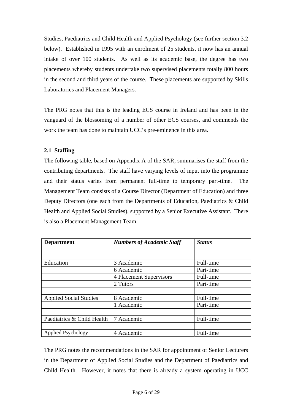Studies, Paediatrics and Child Health and Applied Psychology (see further section 3.2 below). Established in 1995 with an enrolment of 25 students, it now has an annual intake of over 100 students. As well as its academic base, the degree has two placements whereby students undertake two supervised placements totally 800 hours in the second and third years of the course. These placements are supported by Skills Laboratories and Placement Managers.

The PRG notes that this is the leading ECS course in Ireland and has been in the vanguard of the blossoming of a number of other ECS courses, and commends the work the team has done to maintain UCC's pre-eminence in this area.

# **2.1 Staffing**

The following table, based on Appendix A of the SAR, summarises the staff from the contributing departments. The staff have varying levels of input into the programme and their status varies from permanent full-time to temporary part-time. The Management Team consists of a Course Director (Department of Education) and three Deputy Directors (one each from the Departments of Education, Paediatrics & Child Health and Applied Social Studies), supported by a Senior Executive Assistant. There is also a Placement Management Team.

| <b>Department</b>             | <b>Numbers of Academic Staff</b> | <b>Status</b> |
|-------------------------------|----------------------------------|---------------|
|                               |                                  |               |
| Education                     | 3 Academic                       | Full-time     |
|                               | 6 Academic                       | Part-time     |
|                               | 4 Placement Supervisors          | Full-time     |
|                               | 2 Tutors                         | Part-time     |
|                               |                                  |               |
| <b>Applied Social Studies</b> | 8 Academic                       | Full-time     |
|                               | 1 Academic                       | Part-time     |
|                               |                                  |               |
| Paediatrics & Child Health    | 7 Academic                       | Full-time     |
|                               |                                  |               |
| <b>Applied Psychology</b>     | 4 Academic                       | Full-time     |

The PRG notes the recommendations in the SAR for appointment of Senior Lecturers in the Department of Applied Social Studies and the Department of Paediatrics and Child Health. However, it notes that there is already a system operating in UCC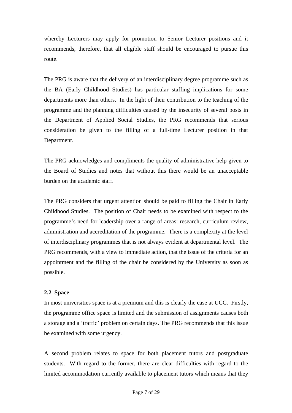whereby Lecturers may apply for promotion to Senior Lecturer positions and it recommends, therefore, that all eligible staff should be encouraged to pursue this route.

The PRG is aware that the delivery of an interdisciplinary degree programme such as the BA (Early Childhood Studies) has particular staffing implications for some departments more than others. In the light of their contribution to the teaching of the programme and the planning difficulties caused by the insecurity of several posts in the Department of Applied Social Studies, the PRG recommends that serious consideration be given to the filling of a full-time Lecturer position in that Department.

The PRG acknowledges and compliments the quality of administrative help given to the Board of Studies and notes that without this there would be an unacceptable burden on the academic staff.

The PRG considers that urgent attention should be paid to filling the Chair in Early Childhood Studies. The position of Chair needs to be examined with respect to the programme's need for leadership over a range of areas: research, curriculum review, administration and accreditation of the programme. There is a complexity at the level of interdisciplinary programmes that is not always evident at departmental level. The PRG recommends, with a view to immediate action, that the issue of the criteria for an appointment and the filling of the chair be considered by the University as soon as possible.

#### **2.2 Space**

In most universities space is at a premium and this is clearly the case at UCC. Firstly, the programme office space is limited and the submission of assignments causes both a storage and a 'traffic' problem on certain days. The PRG recommends that this issue be examined with some urgency.

A second problem relates to space for both placement tutors and postgraduate students. With regard to the former, there are clear difficulties with regard to the limited accommodation currently available to placement tutors which means that they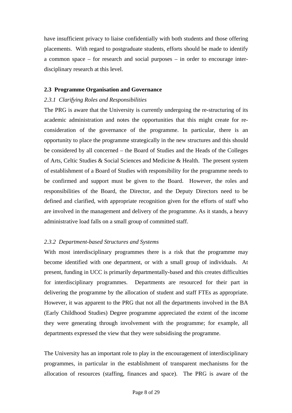have insufficient privacy to liaise confidentially with both students and those offering placements. With regard to postgraduate students, efforts should be made to identify a common space – for research and social purposes – in order to encourage interdisciplinary research at this level.

#### **2.3 Programme Organisation and Governance**

#### *2.3.1 Clarifying Roles and Responsibilities*

The PRG is aware that the University is currently undergoing the re-structuring of its academic administration and notes the opportunities that this might create for reconsideration of the governance of the programme. In particular, there is an opportunity to place the programme strategically in the new structures and this should be considered by all concerned – the Board of Studies and the Heads of the Colleges of Arts, Celtic Studies & Social Sciences and Medicine & Health. The present system of establishment of a Board of Studies with responsibility for the programme needs to be confirmed and support must be given to the Board. However, the roles and responsibilities of the Board, the Director, and the Deputy Directors need to be defined and clarified, with appropriate recognition given for the efforts of staff who are involved in the management and delivery of the programme. As it stands, a heavy administrative load falls on a small group of committed staff.

#### *2.3.2 Department-based Structures and Systems*

With most interdisciplinary programmes there is a risk that the programme may become identified with one department, or with a small group of individuals. At present, funding in UCC is primarily departmentally-based and this creates difficulties for interdisciplinary programmes. Departments are resourced for their part in delivering the programme by the allocation of student and staff FTEs as appropriate. However, it was apparent to the PRG that not all the departments involved in the BA (Early Childhood Studies) Degree programme appreciated the extent of the income they were generating through involvement with the programme; for example, all departments expressed the view that they were subsidising the programme.

The University has an important role to play in the encouragement of interdisciplinary programmes, in particular in the establishment of transparent mechanisms for the allocation of resources (staffing, finances and space). The PRG is aware of the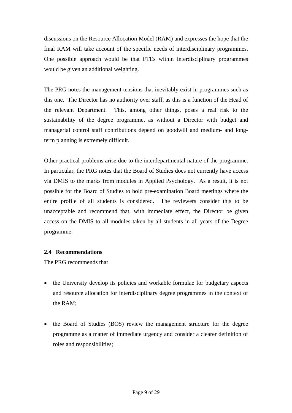discussions on the Resource Allocation Model (RAM) and expresses the hope that the final RAM will take account of the specific needs of interdisciplinary programmes. One possible approach would be that FTEs within interdisciplinary programmes would be given an additional weighting.

The PRG notes the management tensions that inevitably exist in programmes such as this one. The Director has no authority over staff, as this is a function of the Head of the relevant Department. This, among other things, poses a real risk to the sustainability of the degree programme, as without a Director with budget and managerial control staff contributions depend on goodwill and medium- and longterm planning is extremely difficult.

Other practical problems arise due to the interdepartmental nature of the programme. In particular, the PRG notes that the Board of Studies does not currently have access via DMIS to the marks from modules in Applied Psychology. As a result, it is not possible for the Board of Studies to hold pre-examination Board meetings where the entire profile of all students is considered. The reviewers consider this to be unacceptable and recommend that, with immediate effect, the Director be given access on the DMIS to all modules taken by all students in all years of the Degree programme.

# **2.4 Recommendations**

The PRG recommends that

- the University develop its policies and workable formulae for budgetary aspects and resource allocation for interdisciplinary degree programmes in the context of the RAM;
- the Board of Studies (BOS) review the management structure for the degree programme as a matter of immediate urgency and consider a clearer definition of roles and responsibilities;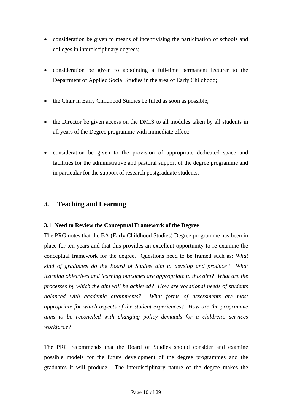- consideration be given to means of incentivising the participation of schools and colleges in interdisciplinary degrees;
- consideration be given to appointing a full-time permanent lecturer to the Department of Applied Social Studies in the area of Early Childhood;
- the Chair in Early Childhood Studies be filled as soon as possible;
- the Director be given access on the DMIS to all modules taken by all students in all years of the Degree programme with immediate effect;
- consideration be given to the provision of appropriate dedicated space and facilities for the administrative and pastoral support of the degree programme and in particular for the support of research postgraduate students.

# *3.* **Teaching and Learning**

#### **3.1 Need to Review the Conceptual Framework of the Degree**

The PRG notes that the BA (Early Childhood Studies) Degree programme has been in place for ten years and that this provides an excellent opportunity to re-examine the conceptual framework for the degree. Questions need to be framed such as: *What kind of graduates do the Board of Studies aim to develop and produce? What learning objectives and learning outcomes are appropriate to this aim? What are the processes by which the aim will be achieved? How are vocational needs of students balanced with academic attainments? What forms of assessments are most appropriate for which aspects of the student experiences? How are the programme aims to be reconciled with changing policy demands for a children's services workforce?*

The PRG recommends that the Board of Studies should consider and examine possible models for the future development of the degree programmes and the graduates it will produce. The interdisciplinary nature of the degree makes the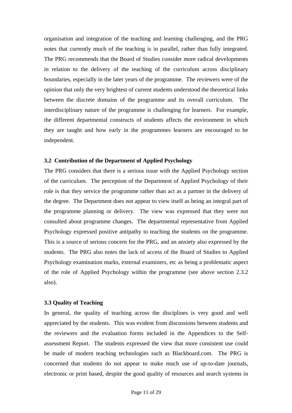organisation and integration of the teaching and learning challenging, and the PRG notes that currently much of the teaching is in parallel, rather than fully integrated. The PRG recommends that the Board of Studies consider more radical developments in relation to the delivery of the teaching of the curriculum across disciplinary boundaries, especially in the later years of the programme. The reviewers were of the opinion that only the very brightest of current students understood the theoretical links between the discrete domains of the programme and its overall curriculum. The interdisciplinary nature of the programme is challenging for learners. For example, the different departmental constructs of students affects the environment in which they are taught and how early in the programmes learners are encouraged to be independent.

#### **3.2 Contribution of the Department of Applied Psychology**

The PRG considers that there is a serious issue with the Applied Psychology section of the curriculum. The perception of the Department of Applied Psychology of their role is that they service the programme rather than act as a partner in the delivery of the degree. The Department does not appear to view itself as being an integral part of the programme planning or delivery. The view was expressed that they were not consulted about programme changes. The departmental representative from Applied Psychology expressed positive antipathy to teaching the students on the programme. This is a source of serious concern for the PRG, and an anxiety also expressed by the students. The PRG also notes the lack of access of the Board of Studies to Applied Psychology examination marks, external examiners, etc as being a problematic aspect of the role of Applied Psychology within the programme (see above section 2.3.2 also).

#### **3.3 Quality of Teaching**

In general, the quality of teaching across the disciplines is very good and well appreciated by the students. This was evident from discussions between students and the reviewers and the evaluation forms included in the Appendices to the Selfassessment Report. The students expressed the view that more consistent use could be made of modern teaching technologies such as Blackboard.com. The PRG is concerned that students do not appear to make much use of up-to-date journals, electronic or print based, despite the good quality of resources and search systems in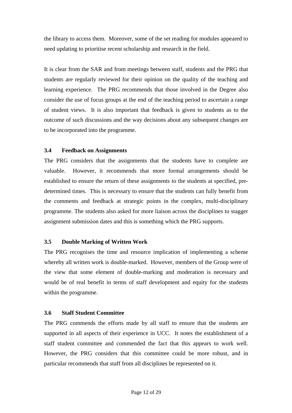the library to access them. Moreover, some of the set reading for modules appeared to need updating to prioritise recent scholarship and research in the field.

It is clear from the SAR and from meetings between staff, students and the PRG that students are regularly reviewed for their opinion on the quality of the teaching and learning experience. The PRG recommends that those involved in the Degree also consider the use of focus groups at the end of the teaching period to ascertain a range of student views. It is also important that feedback is given to students as to the outcome of such discussions and the way decisions about any subsequent changes are to be incorporated into the programme.

## **3.4 Feedback on Assignments**

The PRG considers that the assignments that the students have to complete are valuable. However, it recommends that more formal arrangements should be established to ensure the return of these assignments to the students at specified, predetermined times. This is necessary to ensure that the students can fully benefit from the comments and feedback at strategic points in the complex, multi-disciplinary programme. The students also asked for more liaison across the disciplines to stagger assignment submission dates and this is something which the PRG supports.

# **3.5 Double Marking of Written Work**

The PRG recognises the time and resource implication of implementing a scheme whereby all written work is double-marked. However, members of the Group were of the view that some element of double-marking and moderation is necessary and would be of real benefit in terms of staff development and equity for the students within the programme.

#### **3.6 Staff Student Committee**

The PRG commends the efforts made by all staff to ensure that the students are supported in all aspects of their experience in UCC. It notes the establishment of a staff student committee and commended the fact that this appears to work well. However, the PRG considers that this committee could be more robust, and in particular recommends that staff from all disciplines be represented on it.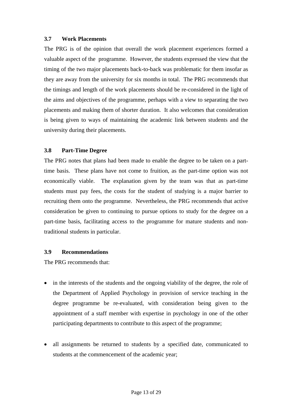#### **3.7 Work Placements**

The PRG is of the opinion that overall the work placement experiences formed a valuable aspect of the programme. However, the students expressed the view that the timing of the two major placements back-to-back was problematic for them insofar as they are away from the university for six months in total. The PRG recommends that the timings and length of the work placements should be re-considered in the light of the aims and objectives of the programme, perhaps with a view to separating the two placements and making them of shorter duration. It also welcomes that consideration is being given to ways of maintaining the academic link between students and the university during their placements.

#### **3.8 Part-Time Degree**

The PRG notes that plans had been made to enable the degree to be taken on a parttime basis. These plans have not come to fruition, as the part-time option was not economically viable. The explanation given by the team was that as part-time students must pay fees, the costs for the student of studying is a major barrier to recruiting them onto the programme. Nevertheless, the PRG recommends that active consideration be given to continuing to pursue options to study for the degree on a part-time basis, facilitating access to the programme for mature students and nontraditional students in particular.

#### **3.9 Recommendations**

The PRG recommends that:

- in the interests of the students and the ongoing viability of the degree, the role of the Department of Applied Psychology in provision of service teaching in the degree programme be re-evaluated, with consideration being given to the appointment of a staff member with expertise in psychology in one of the other participating departments to contribute to this aspect of the programme;
- all assignments be returned to students by a specified date, communicated to students at the commencement of the academic year;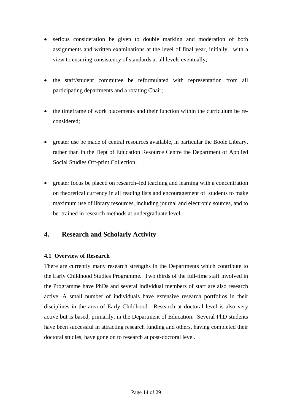- serious consideration be given to double marking and moderation of both assignments and written examinations at the level of final year, initially, with a view to ensuring consistency of standards at all levels eventually;
- the staff/student committee be reformulated with representation from all participating departments and a rotating Chair;
- the timeframe of work placements and their function within the curriculum be reconsidered;
- greater use be made of central resources available, in particular the Boole Library, rather than in the Dept of Education Resource Centre the Department of Applied Social Studies Off-print Collection;
- greater focus be placed on research–led teaching and learning with a concentration on theoretical currency in all reading lists and encouragement of students to make maximum use of library resources, including journal and electronic sources, and to be trained in research methods at undergraduate level.

# **4. Research and Scholarly Activity**

# **4.1 Overview of Research**

There are currently many research strengths in the Departments which contribute to the Early Childhood Studies Programme. Two thirds of the full-time staff involved in the Programme have PhDs and several individual members of staff are also research active. A small number of individuals have extensive research portfolios in their disciplines in the area of Early Childhood. Research at doctoral level is also very active but is based, primarily, in the Department of Education. Several PhD students have been successful in attracting research funding and others, having completed their doctoral studies, have gone on to research at post-doctoral level.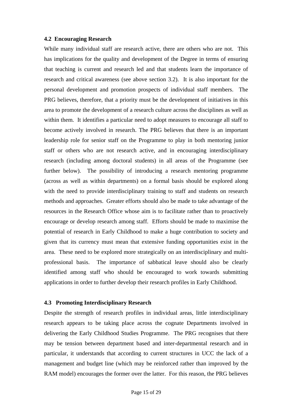#### **4.2 Encouraging Research**

While many individual staff are research active, there are others who are not. This has implications for the quality and development of the Degree in terms of ensuring that teaching is current and research led and that students learn the importance of research and critical awareness (see above section 3.2). It is also important for the personal development and promotion prospects of individual staff members. The PRG believes, therefore, that a priority must be the development of initiatives in this area to promote the development of a research culture across the disciplines as well as within them. It identifies a particular need to adopt measures to encourage all staff to become actively involved in research. The PRG believes that there is an important leadership role for senior staff on the Programme to play in both mentoring junior staff or others who are not research active, and in encouraging interdisciplinary research (including among doctoral students) in all areas of the Programme (see further below). The possibility of introducing a research mentoring programme (across as well as within departments) on a formal basis should be explored along with the need to provide interdisciplinary training to staff and students on research methods and approaches. Greater efforts should also be made to take advantage of the resources in the Research Office whose aim is to facilitate rather than to proactively encourage or develop research among staff. Efforts should be made to maximise the potential of research in Early Childhood to make a huge contribution to society and given that its currency must mean that extensive funding opportunities exist in the area. These need to be explored more strategically on an interdisciplinary and multiprofessional basis. The importance of sabbatical leave should also be clearly identified among staff who should be encouraged to work towards submitting applications in order to further develop their research profiles in Early Childhood.

#### **4.3 Promoting Interdisciplinary Research**

Despite the strength of research profiles in individual areas, little interdisciplinary research appears to be taking place across the cognate Departments involved in delivering the Early Childhood Studies Programme. The PRG recognises that there may be tension between department based and inter-departmental research and in particular, it understands that according to current structures in UCC the lack of a management and budget line (which may be reinforced rather than improved by the RAM model) encourages the former over the latter. For this reason, the PRG believes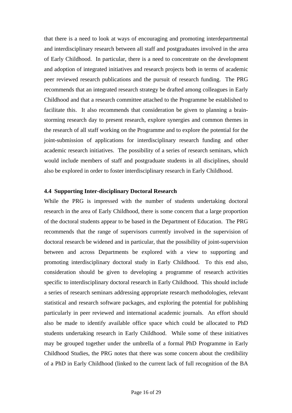that there is a need to look at ways of encouraging and promoting interdepartmental and interdisciplinary research between all staff and postgraduates involved in the area of Early Childhood. In particular, there is a need to concentrate on the development and adoption of integrated initiatives and research projects both in terms of academic peer reviewed research publications and the pursuit of research funding. The PRG recommends that an integrated research strategy be drafted among colleagues in Early Childhood and that a research committee attached to the Programme be established to facilitate this. It also recommends that consideration be given to planning a brainstorming research day to present research, explore synergies and common themes in the research of all staff working on the Programme and to explore the potential for the joint-submission of applications for interdisciplinary research funding and other academic research initiatives. The possibility of a series of research seminars, which would include members of staff and postgraduate students in all disciplines, should also be explored in order to foster interdisciplinary research in Early Childhood.

#### **4.4 Supporting Inter-disciplinary Doctoral Research**

While the PRG is impressed with the number of students undertaking doctoral research in the area of Early Childhood, there is some concern that a large proportion of the doctoral students appear to be based in the Department of Education. The PRG recommends that the range of supervisors currently involved in the supervision of doctoral research be widened and in particular, that the possibility of joint-supervision between and across Departments be explored with a view to supporting and promoting interdisciplinary doctoral study in Early Childhood. To this end also, consideration should be given to developing a programme of research activities specific to interdisciplinary doctoral research in Early Childhood. This should include a series of research seminars addressing appropriate research methodologies, relevant statistical and research software packages, and exploring the potential for publishing particularly in peer reviewed and international academic journals. An effort should also be made to identify available office space which could be allocated to PhD students undertaking research in Early Childhood. While some of these initiatives may be grouped together under the umbrella of a formal PhD Programme in Early Childhood Studies, the PRG notes that there was some concern about the credibility of a PhD in Early Childhood (linked to the current lack of full recognition of the BA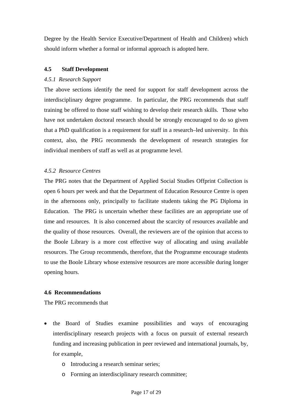Degree by the Health Service Executive/Department of Health and Children) which should inform whether a formal or informal approach is adopted here.

# **4.5 Staff Development**

## *4.5.1 Research Support*

The above sections identify the need for support for staff development across the interdisciplinary degree programme. In particular, the PRG recommends that staff training be offered to those staff wishing to develop their research skills. Those who have not undertaken doctoral research should be strongly encouraged to do so given that a PhD qualification is a requirement for staff in a research–led university. In this context, also, the PRG recommends the development of research strategies for individual members of staff as well as at programme level.

## *4.5.2 Resource Centres*

The PRG notes that the Department of Applied Social Studies Offprint Collection is open 6 hours per week and that the Department of Education Resource Centre is open in the afternoons only, principally to facilitate students taking the PG Diploma in Education. The PRG is uncertain whether these facilities are an appropriate use of time and resources. It is also concerned about the scarcity of resources available and the quality of those resources. Overall, the reviewers are of the opinion that access to the Boole Library is a more cost effective way of allocating and using available resources. The Group recommends, therefore, that the Programme encourage students to use the Boole Library whose extensive resources are more accessible during longer opening hours.

#### **4.6 Recommendations**

The PRG recommends that

- the Board of Studies examine possibilities and ways of encouraging interdisciplinary research projects with a focus on pursuit of external research funding and increasing publication in peer reviewed and international journals, by, for example,
	- o Introducing a research seminar series;
	- o Forming an interdisciplinary research committee;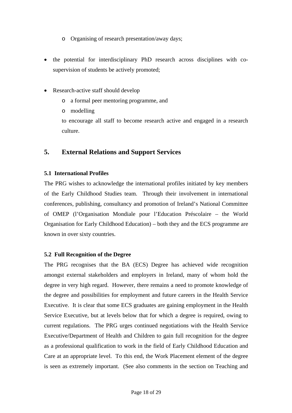- o Organising of research presentation/away days;
- the potential for interdisciplinary PhD research across disciplines with cosupervision of students be actively promoted;
- Research-active staff should develop
	- o a formal peer mentoring programme, and
	- o modelling

to encourage all staff to become research active and engaged in a research culture.

# **5. External Relations and Support Services**

#### **5.1 International Profiles**

The PRG wishes to acknowledge the international profiles initiated by key members of the Early Childhood Studies team. Through their involvement in international conferences, publishing, consultancy and promotion of Ireland's National Committee of OMEP (l'Organisation Mondiale pour l'Education Préscolaire – the World Organisation for Early Childhood Education) – both they and the ECS programme are known in over sixty countries.

#### **5.2 Full Recognition of the Degree**

The PRG recognises that the BA (ECS) Degree has achieved wide recognition amongst external stakeholders and employers in Ireland, many of whom hold the degree in very high regard. However, there remains a need to promote knowledge of the degree and possibilities for employment and future careers in the Health Service Executive. It is clear that some ECS graduates are gaining employment in the Health Service Executive, but at levels below that for which a degree is required, owing to current regulations. The PRG urges continued negotiations with the Health Service Executive/Department of Health and Children to gain full recognition for the degree as a professional qualification to work in the field of Early Childhood Education and Care at an appropriate level. To this end, the Work Placement element of the degree is seen as extremely important. (See also comments in the section on Teaching and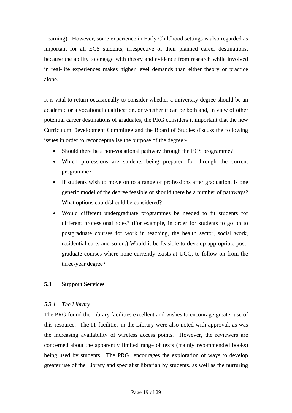Learning). However, some experience in Early Childhood settings is also regarded as important for all ECS students, irrespective of their planned career destinations, because the ability to engage with theory and evidence from research while involved in real-life experiences makes higher level demands than either theory or practice alone.

It is vital to return occasionally to consider whether a university degree should be an academic or a vocational qualification, or whether it can be both and, in view of other potential career destinations of graduates, the PRG considers it important that the new Curriculum Development Committee and the Board of Studies discuss the following issues in order to reconceptualise the purpose of the degree:-

- Should there be a non-vocational pathway through the ECS programme?
- Which professions are students being prepared for through the current programme?
- If students wish to move on to a range of professions after graduation, is one generic model of the degree feasible or should there be a number of pathways? What options could/should be considered?
- Would different undergraduate programmes be needed to fit students for different professional roles? (For example, in order for students to go on to postgraduate courses for work in teaching, the health sector, social work, residential care, and so on.) Would it be feasible to develop appropriate postgraduate courses where none currently exists at UCC, to follow on from the three-year degree?

# **5.3 Support Services**

#### *5.3.1 The Library*

The PRG found the Library facilities excellent and wishes to encourage greater use of this resource. The IT facilities in the Library were also noted with approval, as was the increasing availability of wireless access points. However, the reviewers are concerned about the apparently limited range of texts (mainly recommended books) being used by students. The PRG encourages the exploration of ways to develop greater use of the Library and specialist librarian by students, as well as the nurturing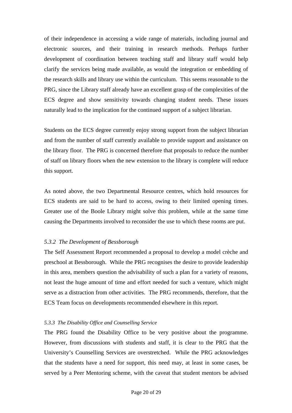of their independence in accessing a wide range of materials, including journal and electronic sources, and their training in research methods. Perhaps further development of coordination between teaching staff and library staff would help clarify the services being made available, as would the integration or embedding of the research skills and library use within the curriculum. This seems reasonable to the PRG, since the Library staff already have an excellent grasp of the complexities of the ECS degree and show sensitivity towards changing student needs. These issues naturally lead to the implication for the continued support of a subject librarian.

Students on the ECS degree currently enjoy strong support from the subject librarian and from the number of staff currently available to provide support and assistance on the library floor. The PRG is concerned therefore that proposals to reduce the number of staff on library floors when the new extension to the library is complete will reduce this support.

As noted above, the two Departmental Resource centres, which hold resources for ECS students are said to be hard to access, owing to their limited opening times. Greater use of the Boole Library might solve this problem, while at the same time causing the Departments involved to reconsider the use to which these rooms are put.

#### *5.3.2 The Development of Bessborough*

The Self Assessment Report recommended a proposal to develop a model crèche and preschool at Bessborough. While the PRG recognises the desire to provide leadership in this area, members question the advisability of such a plan for a variety of reasons, not least the huge amount of time and effort needed for such a venture, which might serve as a distraction from other activities. The PRG recommends, therefore, that the ECS Team focus on developments recommended elsewhere in this report.

#### *5.3.3 The Disability Office and Counselling Service*

The PRG found the Disability Office to be very positive about the programme. However, from discussions with students and staff, it is clear to the PRG that the University's Counselling Services are overstretched. While the PRG acknowledges that the students have a need for support, this need may, at least in some cases, be served by a Peer Mentoring scheme, with the caveat that student mentors be advised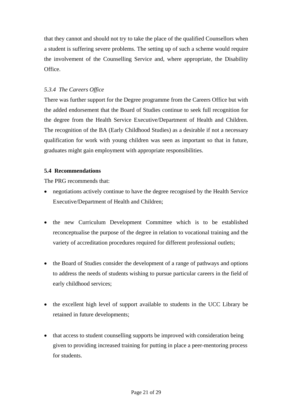that they cannot and should not try to take the place of the qualified Counsellors when a student is suffering severe problems. The setting up of such a scheme would require the involvement of the Counselling Service and, where appropriate, the Disability Office.

# *5.3.4 The Careers Office*

There was further support for the Degree programme from the Careers Office but with the added endorsement that the Board of Studies continue to seek full recognition for the degree from the Health Service Executive/Department of Health and Children. The recognition of the BA (Early Childhood Studies) as a desirable if not a necessary qualification for work with young children was seen as important so that in future, graduates might gain employment with appropriate responsibilities.

# **5.4 Recommendations**

The PRG recommends that:

- negotiations actively continue to have the degree recognised by the Health Service Executive/Department of Health and Children;
- the new Curriculum Development Committee which is to be established reconceptualise the purpose of the degree in relation to vocational training and the variety of accreditation procedures required for different professional outlets;
- the Board of Studies consider the development of a range of pathways and options to address the needs of students wishing to pursue particular careers in the field of early childhood services;
- the excellent high level of support available to students in the UCC Library be retained in future developments;
- that access to student counselling supports be improved with consideration being given to providing increased training for putting in place a peer-mentoring process for students.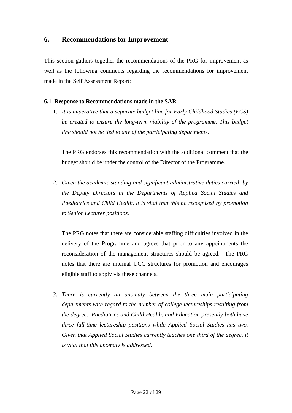# **6. Recommendations for Improvement**

This section gathers together the recommendations of the PRG for improvement as well as the following comments regarding the recommendations for improvement made in the Self Assessment Report:

# **6.1 Response to Recommendations made in the SAR**

1. *It is imperative that a separate budget line for Early Childhood Studies (ECS) be created to ensure the long-term viability of the programme. This budget line should not be tied to any of the participating departments.*

The PRG endorses this recommendation with the additional comment that the budget should be under the control of the Director of the Programme.

*2. Given the academic standing and significant administrative duties carried by the Deputy Directors in the Departments of Applied Social Studies and Paediatrics and Child Health, it is vital that this be recognised by promotion to Senior Lecturer positions.*

The PRG notes that there are considerable staffing difficulties involved in the delivery of the Programme and agrees that prior to any appointments the reconsideration of the management structures should be agreed. The PRG notes that there are internal UCC structures for promotion and encourages eligible staff to apply via these channels.

*3. There is currently an anomaly between the three main participating departments with regard to the number of college lectureships resulting from the degree. Paediatrics and Child Health, and Education presently both have three full-time lectureship positions while Applied Social Studies has two. Given that Applied Social Studies currently teaches one third of the degree, it is vital that this anomaly is addressed.*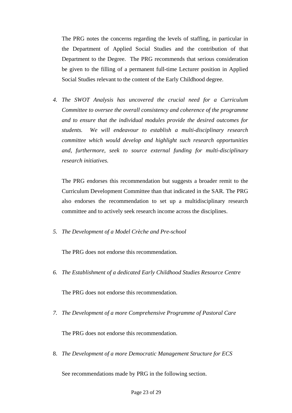The PRG notes the concerns regarding the levels of staffing, in particular in the Department of Applied Social Studies and the contribution of that Department to the Degree. The PRG recommends that serious consideration be given to the filling of a permanent full-time Lecturer position in Applied Social Studies relevant to the content of the Early Childhood degree.

*4. The SWOT Analysis has uncovered the crucial need for a Curriculum Committee to oversee the overall consistency and coherence of the programme and to ensure that the individual modules provide the desired outcomes for students. We will endeavour to establish a multi-disciplinary research committee which would develop and highlight such research opportunities and, furthermore, seek to source external funding for multi-disciplinary research initiatives.* 

The PRG endorses this recommendation but suggests a broader remit to the Curriculum Development Committee than that indicated in the SAR. The PRG also endorses the recommendation to set up a multidisciplinary research committee and to actively seek research income across the disciplines.

*5. The Development of a Model Crèche and Pre-school* 

The PRG does not endorse this recommendation.

*6. The Establishment of a dedicated Early Childhood Studies Resource Centre* 

The PRG does not endorse this recommendation.

*7. The Development of a more Comprehensive Programme of Pastoral Care* 

The PRG does not endorse this recommendation.

8. *The Development of a more Democratic Management Structure for ECS*

See recommendations made by PRG in the following section.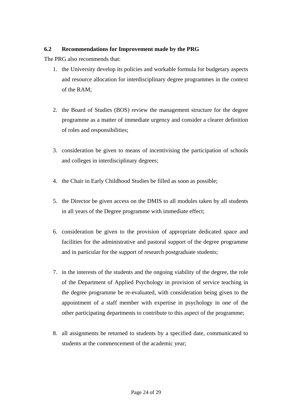# **6.2 Recommendations for Improvement made by the PRG**

The PRG also recommends that:

- 1. the University develop its policies and workable formula for budgetary aspects and resource allocation for interdisciplinary degree programmes in the context of the RAM;
- 2. the Board of Studies (BOS) review the management structure for the degree programme as a matter of immediate urgency and consider a clearer definition of roles and responsibilities;
- 3. consideration be given to means of incentivising the participation of schools and colleges in interdisciplinary degrees;
- 4. the Chair in Early Childhood Studies be filled as soon as possible;
- 5. the Director be given access on the DMIS to all modules taken by all students in all years of the Degree programme with immediate effect;
- 6. consideration be given to the provision of appropriate dedicated space and facilities for the administrative and pastoral support of the degree programme and in particular for the support of research postgraduate students;
- 7. in the interests of the students and the ongoing viability of the degree, the role of the Department of Applied Psychology in provision of service teaching in the degree programme be re-evaluated, with consideration being given to the appointment of a staff member with expertise in psychology in one of the other participating departments to contribute to this aspect of the programme;
- 8. all assignments be returned to students by a specified date, communicated to students at the commencement of the academic year;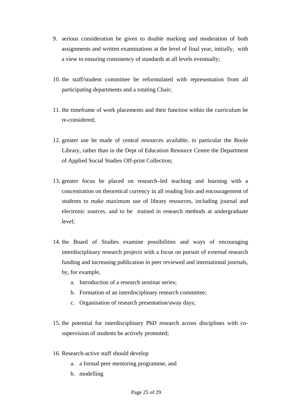- 9. serious consideration be given to double marking and moderation of both assignments and written examinations at the level of final year, initially, with a view to ensuring consistency of standards at all levels eventually;
- 10. the staff/student committee be reformulated with representation from all participating departments and a rotating Chair;
- 11. the timeframe of work placements and their function within the curriculum be re-considered;
- 12. greater use be made of central resources available, in particular the Boole Library, rather than in the Dept of Education Resource Centre the Department of Applied Social Studies Off-print Collection;
- 13. greater focus be placed on research–led teaching and learning with a concentration on theoretical currency in all reading lists and encouragement of students to make maximum use of library resources, including journal and electronic sources, and to be trained in research methods at undergraduate level;
- 14. the Board of Studies examine possibilities and ways of encouraging interdisciplinary research projects with a focus on pursuit of external research funding and increasing publication in peer reviewed and international journals, by, for example,
	- a. Introduction of a research seminar series;
	- b. Formation of an interdisciplinary research committee;
	- c. Organisation of research presentation/away days;
- 15. the potential for interdisciplinary PhD research across disciplines with cosupervision of students be actively promoted;
- 16. Research-active staff should develop
	- a. a formal peer mentoring programme, and
	- b. modelling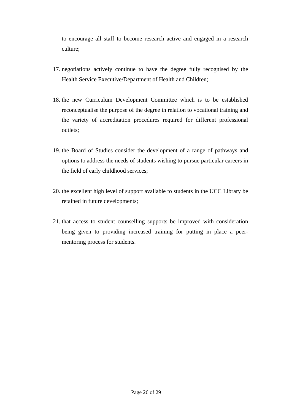to encourage all staff to become research active and engaged in a research culture;

- 17. negotiations actively continue to have the degree fully recognised by the Health Service Executive/Department of Health and Children;
- 18. the new Curriculum Development Committee which is to be established reconceptualise the purpose of the degree in relation to vocational training and the variety of accreditation procedures required for different professional outlets;
- 19. the Board of Studies consider the development of a range of pathways and options to address the needs of students wishing to pursue particular careers in the field of early childhood services;
- 20. the excellent high level of support available to students in the UCC Library be retained in future developments;
- 21. that access to student counselling supports be improved with consideration being given to providing increased training for putting in place a peermentoring process for students.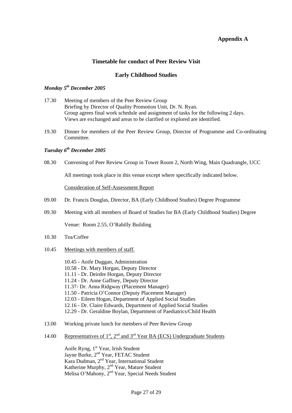# **Appendix A**

## **Timetable for conduct of Peer Review Visit**

#### **Early Childhood Studies**

#### *Monday 5th December 2005*

- 17.30 Meeting of members of the Peer Review Group Briefing by Director of Quality Promotion Unit, Dr. N. Ryan. Group agrees final work schedule and assignment of tasks for the following 2 days. Views are exchanged and areas to be clarified or explored are identified.
- 19.30 Dinner for members of the Peer Review Group, Director of Programme and Co-ordinating Committee.

#### *Tuesday 6th December 2005*

08.30 Convening of Peer Review Group in Tower Room 2, North Wing, Main Quadrangle, UCC

All meetings took place in this venue except where specifically indicated below.

Consideration of Self-Assessment Report

- 09.00 Dr. Francis Douglas, Director, BA (Early Childhood Studies) Degree Programme
- 09.30 Meeting with all members of Board of Studies for BA (Early Childhood Studies) Degree

Venue: Room 2.55, O'Rahilly Building

- 10.30 Tea/Coffee
- 10.45 Meetings with members of staff.
	- 10.45 Aoife Duggan, Administration 10.58 - Dr. Mary Horgan, Deputy Director 11.11 - Dr. Deirdre Horgan, Deputy Director 11.24 - Dr. Anne Gaffney, Deputy Director 11.37- Dr. Anna Ridgway (Placement Manager) 11.50 - Patricia O'Connor (Deputy Placement Manager) 12.03 - Eileen Hogan, Department of Applied Social Studies 12.16 - Dr. Claire Edwards, Department of Applied Social Studies 12.29 - Dr. Geraldine Boylan, Department of Paediatrics/Child Health
- 13.00 Working private lunch for members of Peer Review Group
- 14.00 Representatives of  $1<sup>st</sup>$ ,  $2<sup>nd</sup>$  and  $3<sup>rd</sup>$  Year BA (ECS) Undergraduate Students

Aoife Ryng, 1<sup>st</sup> Year, Irish Student Jayne Burke, 2<sup>nd</sup> Year, FETAC Student Kara Dudman, 2<sup>nd</sup> Year, International Student Katherine Murphy, 2<sup>nd</sup> Year, Mature Student Melisa O'Mahony, 2<sup>nd</sup> Year, Special Needs Student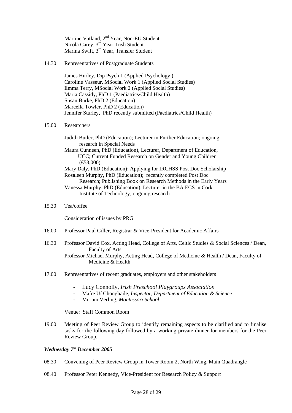Martine Vatland, 2<sup>nd</sup> Year, Non-EU Student Nicola Carey, 3<sup>rd</sup> Year, Irish Student Marina Swift, 3<sup>rd</sup> Year, Transfer Student

14.30 Representatives of Postgraduate Students

James Hurley, Dip Psych 1 (Applied Psychology ) Caroline Vasseur, MSocial Work 1 (Applied Social Studies) Emma Terry, MSocial Work 2 (Applied Social Studies) Maria Cassidy, PhD 1 (Paediatrics/Child Health) Susan Burke, PhD 2 (Education) Marcella Towler, PhD 2 (Education) Jennifer Sturley, PhD recently submitted (Paediatrics/Child Health)

15.00 Researchers

Judith Butler, PhD (Education); Lecturer in Further Education; ongoing research in Special Needs

Maura Cunneen, PhD (Education), Lecturer, Department of Education, UCC; Current Funded Research on Gender and Young Children  $(E53,000)$ 

Mary Daly, PhD (Education); Applying for IRCHSS Post Doc Scholarship Rosaleen Murphy, PhD (Education); recently completed Post Doc Research; Publishing Book on Research Methods in the Early Years Vanessa Murphy, PhD (Education), Lecturer in the BA ECS in Cork

15.30 Tea/coffee

Consideration of issues by PRG

- 16.00 Professor Paul Giller, Registrar & Vice-President for Academic Affairs
- 16.30 Professor David Cox, Acting Head, College of Arts, Celtic Studies & Social Sciences / Dean, Faculty of Arts

Professor Michael Murphy, Acting Head, College of Medicine & Health / Dean, Faculty of Medicine & Health

- 17.00 Representatives of recent graduates, employers and other stakeholders
	- Lucy Connolly, *Irish Preschool Playgroups Association*
	- Maíre Uí Chonghaile, *Inspector, Department of Education & Science*
	- Miriam Verling, *Montessori School*

Venue: Staff Common Room

19.00 Meeting of Peer Review Group to identify remaining aspects to be clarified and to finalise tasks for the following day followed by a working private dinner for members for the Peer Review Group.

### *Wednesday 7th December 2005*

- 08.30 Convening of Peer Review Group in Tower Room 2, North Wing, Main Quadrangle
- 08.40 Professor Peter Kennedy, Vice-President for Research Policy & Support

Institute of Technology; ongoing research